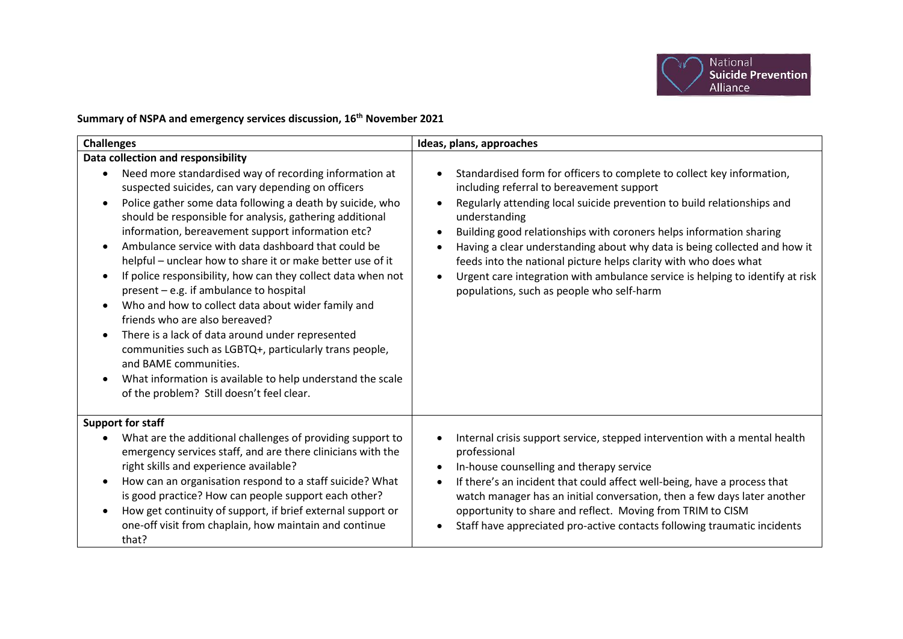

## **Summary of NSPA and emergency services discussion, 16th November 2021**

| <b>Challenges</b>                                                                                                                                                                                                                                                                                                                                                                                                                                                                                                                                                                                                                                                                                                                                                                                                                                                                                                                    | Ideas, plans, approaches                                                                                                                                                                                                                                                                                                                                                                                                                                                                                                                                              |
|--------------------------------------------------------------------------------------------------------------------------------------------------------------------------------------------------------------------------------------------------------------------------------------------------------------------------------------------------------------------------------------------------------------------------------------------------------------------------------------------------------------------------------------------------------------------------------------------------------------------------------------------------------------------------------------------------------------------------------------------------------------------------------------------------------------------------------------------------------------------------------------------------------------------------------------|-----------------------------------------------------------------------------------------------------------------------------------------------------------------------------------------------------------------------------------------------------------------------------------------------------------------------------------------------------------------------------------------------------------------------------------------------------------------------------------------------------------------------------------------------------------------------|
| Data collection and responsibility<br>Need more standardised way of recording information at<br>suspected suicides, can vary depending on officers<br>Police gather some data following a death by suicide, who<br>should be responsible for analysis, gathering additional<br>information, bereavement support information etc?<br>Ambulance service with data dashboard that could be<br>helpful – unclear how to share it or make better use of it<br>If police responsibility, how can they collect data when not<br>present - e.g. if ambulance to hospital<br>Who and how to collect data about wider family and<br>$\bullet$<br>friends who are also bereaved?<br>There is a lack of data around under represented<br>$\bullet$<br>communities such as LGBTQ+, particularly trans people,<br>and BAME communities.<br>What information is available to help understand the scale<br>of the problem? Still doesn't feel clear. | Standardised form for officers to complete to collect key information,<br>including referral to bereavement support<br>Regularly attending local suicide prevention to build relationships and<br>understanding<br>Building good relationships with coroners helps information sharing<br>Having a clear understanding about why data is being collected and how it<br>feeds into the national picture helps clarity with who does what<br>Urgent care integration with ambulance service is helping to identify at risk<br>populations, such as people who self-harm |
| <b>Support for staff</b><br>What are the additional challenges of providing support to<br>emergency services staff, and are there clinicians with the<br>right skills and experience available?<br>How can an organisation respond to a staff suicide? What<br>is good practice? How can people support each other?<br>How get continuity of support, if brief external support or<br>one-off visit from chaplain, how maintain and continue<br>that?                                                                                                                                                                                                                                                                                                                                                                                                                                                                                | Internal crisis support service, stepped intervention with a mental health<br>professional<br>In-house counselling and therapy service<br>If there's an incident that could affect well-being, have a process that<br>watch manager has an initial conversation, then a few days later another<br>opportunity to share and reflect. Moving from TRIM to CISM<br>Staff have appreciated pro-active contacts following traumatic incidents                                                                                                                              |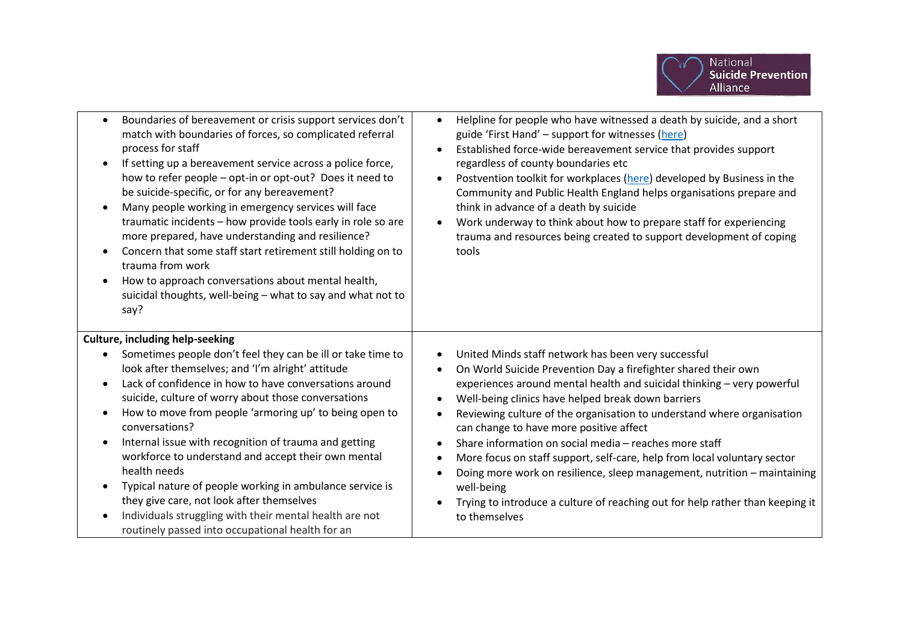

| Boundaries of bereavement or crisis support services don't<br>$\bullet$<br>match with boundaries of forces, so complicated referral<br>process for staff<br>If setting up a bereavement service across a police force,<br>$\bullet$<br>how to refer people - opt-in or opt-out? Does it need to<br>be suicide-specific, or for any bereavement?<br>Many people working in emergency services will face<br>traumatic incidents - how provide tools early in role so are<br>more prepared, have understanding and resilience?<br>Concern that some staff start retirement still holding on to<br>trauma from work<br>How to approach conversations about mental health,<br>suicidal thoughts, well-being - what to say and what not to<br>say? | Helpline for people who have witnessed a death by suicide, and a short<br>$\bullet$<br>guide 'First Hand' - support for witnesses (here)<br>Established force-wide bereavement service that provides support<br>regardless of county boundaries etc<br>Postvention toolkit for workplaces (here) developed by Business in the<br>Community and Public Health England helps organisations prepare and<br>think in advance of a death by suicide<br>Work underway to think about how to prepare staff for experiencing<br>trauma and resources being created to support development of coping<br>tools                                                                                                         |
|----------------------------------------------------------------------------------------------------------------------------------------------------------------------------------------------------------------------------------------------------------------------------------------------------------------------------------------------------------------------------------------------------------------------------------------------------------------------------------------------------------------------------------------------------------------------------------------------------------------------------------------------------------------------------------------------------------------------------------------------|--------------------------------------------------------------------------------------------------------------------------------------------------------------------------------------------------------------------------------------------------------------------------------------------------------------------------------------------------------------------------------------------------------------------------------------------------------------------------------------------------------------------------------------------------------------------------------------------------------------------------------------------------------------------------------------------------------------|
| <b>Culture, including help-seeking</b><br>Sometimes people don't feel they can be ill or take time to<br>look after themselves; and 'I'm alright' attitude<br>Lack of confidence in how to have conversations around<br>suicide, culture of worry about those conversations<br>How to move from people 'armoring up' to being open to<br>conversations?<br>Internal issue with recognition of trauma and getting<br>workforce to understand and accept their own mental<br>health needs<br>Typical nature of people working in ambulance service is<br>they give care, not look after themselves<br>Individuals struggling with their mental health are not<br>routinely passed into occupational health for an                              | United Minds staff network has been very successful<br>On World Suicide Prevention Day a firefighter shared their own<br>experiences around mental health and suicidal thinking - very powerful<br>Well-being clinics have helped break down barriers<br>Reviewing culture of the organisation to understand where organisation<br>can change to have more positive affect<br>Share information on social media - reaches more staff<br>More focus on staff support, self-care, help from local voluntary sector<br>Doing more work on resilience, sleep management, nutrition - maintaining<br>well-being<br>Trying to introduce a culture of reaching out for help rather than keeping it<br>to themselves |